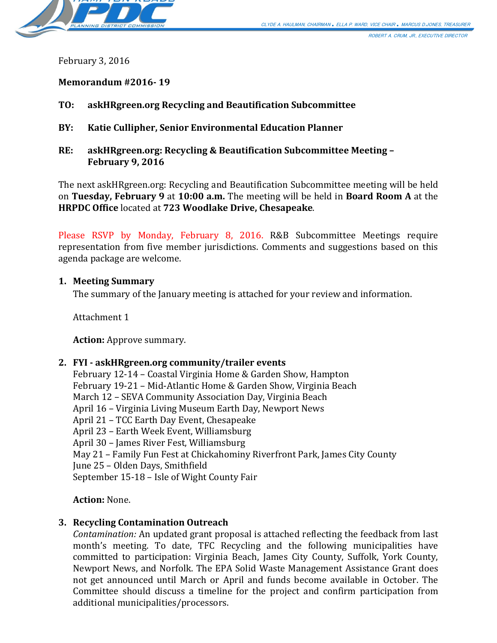

ROBERT A. CRUM, JR., EXECUTIVE DIRECTOR

February 3, 2016

**Memorandum #2016- 19**

- **TO: askHRgreen.org Recycling and Beautification Subcommittee**
- **BY: Katie Cullipher, Senior Environmental Education Planner**
- **RE: askHRgreen.org: Recycling & Beautification Subcommittee Meeting – February 9, 2016**

The next askHRgreen.org: Recycling and Beautification Subcommittee meeting will be held on **Tuesday, February 9** at **10:00 a.m.** The meeting will be held in **Board Room A** at the **HRPDC Office** located at **723 Woodlake Drive, Chesapeake**.

Please RSVP by Monday, February 8, 2016. R&B Subcommittee Meetings require representation from five member jurisdictions. Comments and suggestions based on this agenda package are welcome.

#### **1. Meeting Summary**

The summary of the January meeting is attached for your review and information.

Attachment 1

**Action:** Approve summary.

#### **2. FYI - askHRgreen.org community/trailer events**

February 12-14 – Coastal Virginia Home & Garden Show, Hampton February 19-21 – Mid-Atlantic Home & Garden Show, Virginia Beach March 12 – SEVA Community Association Day, Virginia Beach April 16 – Virginia Living Museum Earth Day, Newport News April 21 – TCC Earth Day Event, Chesapeake April 23 – Earth Week Event, Williamsburg April 30 – James River Fest, Williamsburg May 21 – Family Fun Fest at Chickahominy Riverfront Park, James City County June 25 – Olden Days, Smithfield September 15-18 – Isle of Wight County Fair

**Action:** None.

#### **3. Recycling Contamination Outreach**

*Contamination:* An updated grant proposal is attached reflecting the feedback from last month's meeting. To date, TFC Recycling and the following municipalities have committed to participation: Virginia Beach, James City County, Suffolk, York County, Newport News, and Norfolk. The EPA Solid Waste Management Assistance Grant does not get announced until March or April and funds become available in October. The Committee should discuss a timeline for the project and confirm participation from additional municipalities/processors.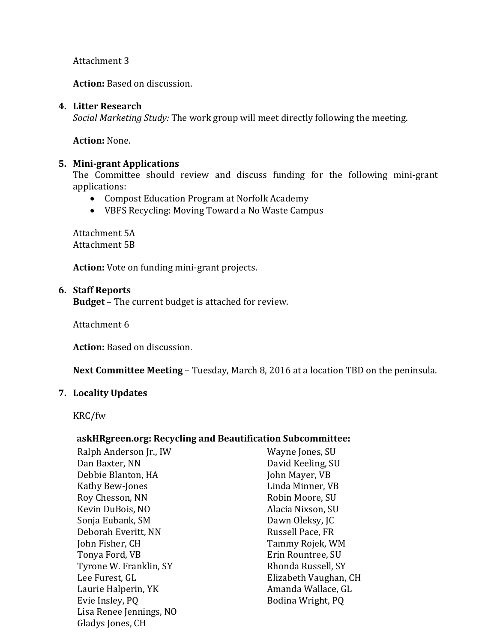Attachment 3

**Action:** Based on discussion.

### **4. Litter Research**

*Social Marketing Study:* The work group will meet directly following the meeting.

**Action:** None.

## **5. Mini-grant Applications**

The Committee should review and discuss funding for the following mini-grant applications:

- Compost Education Program at Norfolk Academy
- VBFS Recycling: Moving Toward a No Waste Campus

Attachment 5A Attachment 5B

**Action:** Vote on funding mini-grant projects.

## **6. Staff Reports**

**Budget** – The current budget is attached for review.

Attachment 6

**Action:** Based on discussion.

**Next Committee Meeting** – Tuesday, March 8, 2016 at a location TBD on the peninsula.

# **7. Locality Updates**

KRC/fw

# **askHRgreen.org: Recycling and Beautification Subcommittee:**

Ralph Anderson Jr., IW Wayne Jones, SU<br>Dan Baxter. NN Name Baxter David Keeling. SU Debbie Blanton, HA John Mayer, VB Kathy Bew-Jones<br>Roy Chesson, NN Kevin DuBois, NO Alacia Nixson, SU Sonja Eubank, SM Dawn Oleksy, JC Deborah Everitt, NN<br>John Fisher, CH John Fisher, CH Tammy Rojek, WM Tyrone W. Franklin, SY<br>Lee Furest. GL Lee Furest, GL<br>
Laurie Halperin, YK<br>
Laurie Halperin, YK<br>
Amanda Wallace, GL Laurie Halperin, YK Amanda Wallace, GL<br>Evie Insley, PQ Bodina Wright, PQ Lisa Renee Jennings, NO Gladys Jones, CH

David Keeling, SU<br>John Mayer, VB Robin Moore, SU<br>Alacia Nixson, SU Erin Rountree, SU<br>Rhonda Russell, SY Bodina Wright, PQ